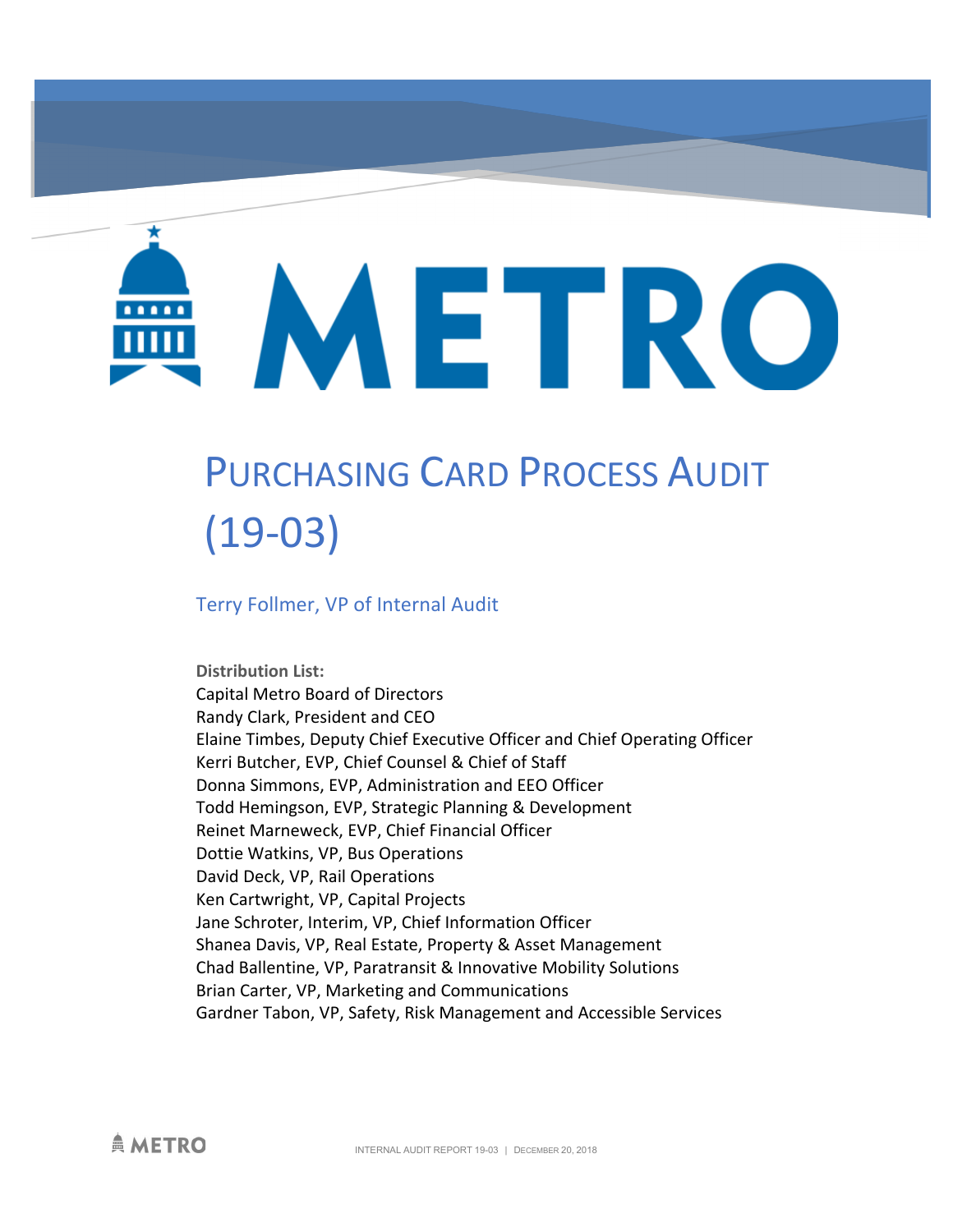METRO

# PURCHASING CARD PROCESS AUDIT (19-03)

Terry Follmer, VP of Internal Audit

**Distribution List:**  Capital Metro Board of Directors Randy Clark, President and CEO Elaine Timbes, Deputy Chief Executive Officer and Chief Operating Officer Kerri Butcher, EVP, Chief Counsel & Chief of Staff Donna Simmons, EVP, Administration and EEO Officer Todd Hemingson, EVP, Strategic Planning & Development Reinet Marneweck, EVP, Chief Financial Officer Dottie Watkins, VP, Bus Operations David Deck, VP, Rail Operations Ken Cartwright, VP, Capital Projects Jane Schroter, Interim, VP, Chief Information Officer Shanea Davis, VP, Real Estate, Property & Asset Management Chad Ballentine, VP, Paratransit & Innovative Mobility Solutions Brian Carter, VP, Marketing and Communications Gardner Tabon, VP, Safety, Risk Management and Accessible Services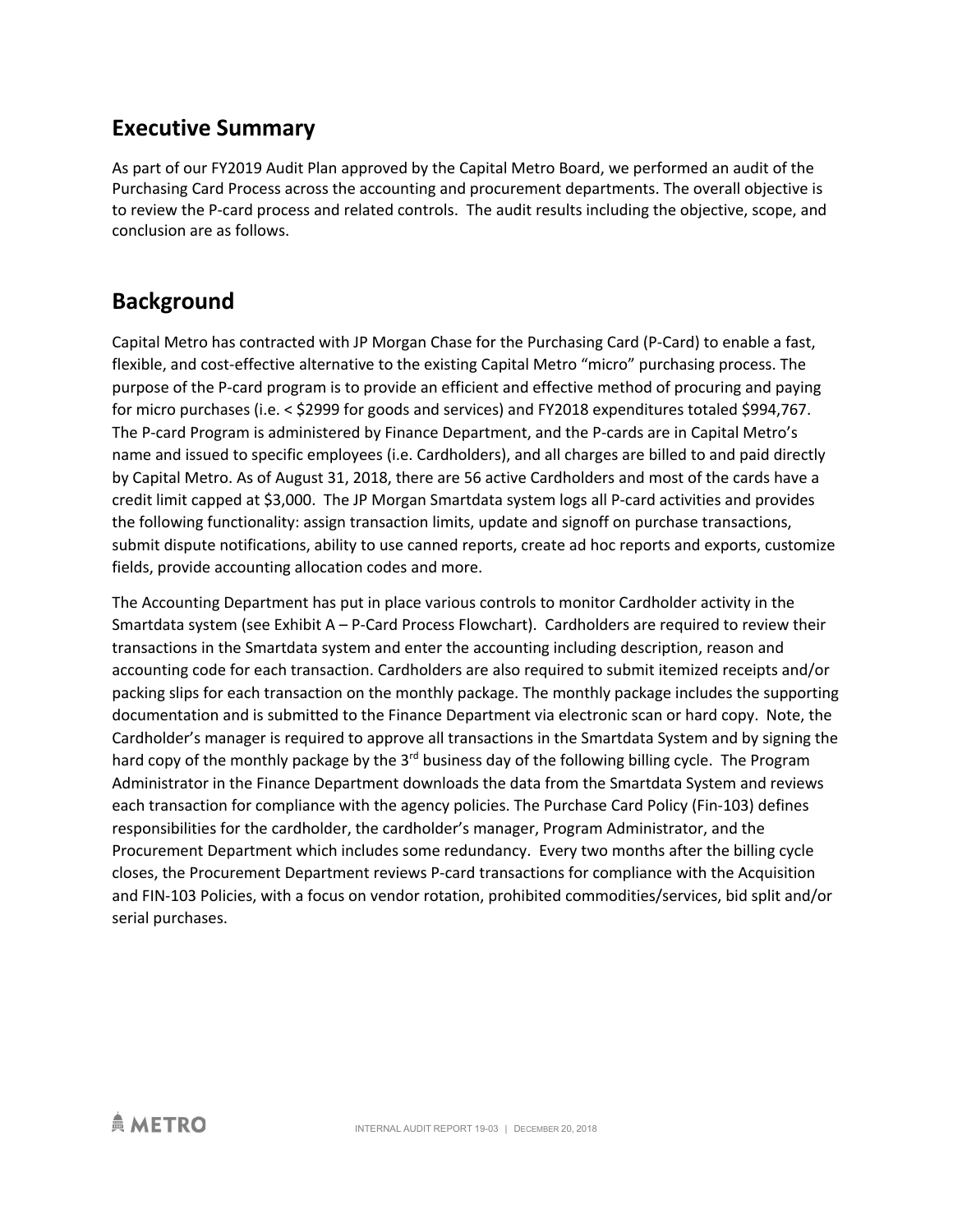#### **Executive Summary**

As part of our FY2019 Audit Plan approved by the Capital Metro Board, we performed an audit of the Purchasing Card Process across the accounting and procurement departments. The overall objective is to review the P-card process and related controls. The audit results including the objective, scope, and conclusion are as follows.

#### **Background**

Capital Metro has contracted with JP Morgan Chase for the Purchasing Card (P-Card) to enable a fast, flexible, and cost-effective alternative to the existing Capital Metro "micro" purchasing process. The purpose of the P-card program is to provide an efficient and effective method of procuring and paying for micro purchases (i.e. < \$2999 for goods and services) and FY2018 expenditures totaled \$994,767. The P-card Program is administered by Finance Department, and the P-cards are in Capital Metro's name and issued to specific employees (i.e. Cardholders), and all charges are billed to and paid directly by Capital Metro. As of August 31, 2018, there are 56 active Cardholders and most of the cards have a credit limit capped at \$3,000. The JP Morgan Smartdata system logs all P-card activities and provides the following functionality: assign transaction limits, update and signoff on purchase transactions, submit dispute notifications, ability to use canned reports, create ad hoc reports and exports, customize fields, provide accounting allocation codes and more.

The Accounting Department has put in place various controls to monitor Cardholder activity in the Smartdata system (see Exhibit A – P-Card Process Flowchart). Cardholders are required to review their transactions in the Smartdata system and enter the accounting including description, reason and accounting code for each transaction. Cardholders are also required to submit itemized receipts and/or packing slips for each transaction on the monthly package. The monthly package includes the supporting documentation and is submitted to the Finance Department via electronic scan or hard copy. Note, the Cardholder's manager is required to approve all transactions in the Smartdata System and by signing the hard copy of the monthly package by the  $3<sup>rd</sup>$  business day of the following billing cycle. The Program Administrator in the Finance Department downloads the data from the Smartdata System and reviews each transaction for compliance with the agency policies. The Purchase Card Policy (Fin-103) defines responsibilities for the cardholder, the cardholder's manager, Program Administrator, and the Procurement Department which includes some redundancy. Every two months after the billing cycle closes, the Procurement Department reviews P-card transactions for compliance with the Acquisition and FIN-103 Policies, with a focus on vendor rotation, prohibited commodities/services, bid split and/or serial purchases.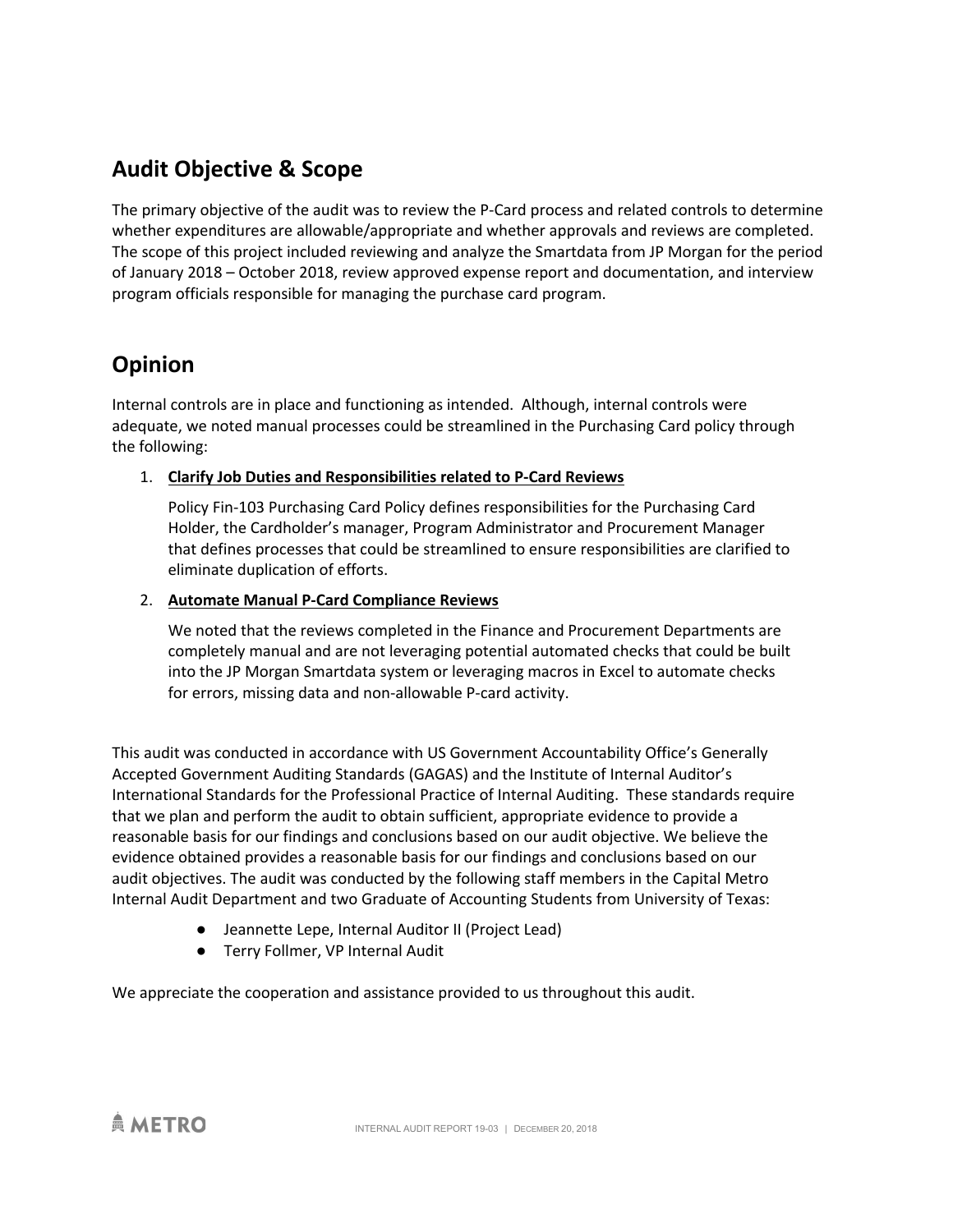## **Audit Objective & Scope**

The primary objective of the audit was to review the P-Card process and related controls to determine whether expenditures are allowable/appropriate and whether approvals and reviews are completed. The scope of this project included reviewing and analyze the Smartdata from JP Morgan for the period of January 2018 – October 2018, review approved expense report and documentation, and interview program officials responsible for managing the purchase card program.

### **Opinion**

Internal controls are in place and functioning as intended. Although, internal controls were adequate, we noted manual processes could be streamlined in the Purchasing Card policy through the following:

#### 1. **Clarify Job Duties and Responsibilities related to P-Card Reviews**

Policy Fin-103 Purchasing Card Policy defines responsibilities for the Purchasing Card Holder, the Cardholder's manager, Program Administrator and Procurement Manager that defines processes that could be streamlined to ensure responsibilities are clarified to eliminate duplication of efforts.

#### 2. **Automate Manual P-Card Compliance Reviews**

We noted that the reviews completed in the Finance and Procurement Departments are completely manual and are not leveraging potential automated checks that could be built into the JP Morgan Smartdata system or leveraging macros in Excel to automate checks for errors, missing data and non-allowable P-card activity.

This audit was conducted in accordance with US Government Accountability Office's Generally Accepted Government Auditing Standards (GAGAS) and the Institute of Internal Auditor's International Standards for the Professional Practice of Internal Auditing. These standards require that we plan and perform the audit to obtain sufficient, appropriate evidence to provide a reasonable basis for our findings and conclusions based on our audit objective. We believe the evidence obtained provides a reasonable basis for our findings and conclusions based on our audit objectives. The audit was conducted by the following staff members in the Capital Metro Internal Audit Department and two Graduate of Accounting Students from University of Texas:

- Jeannette Lepe, Internal Auditor II (Project Lead)
- Terry Follmer, VP Internal Audit

We appreciate the cooperation and assistance provided to us throughout this audit.